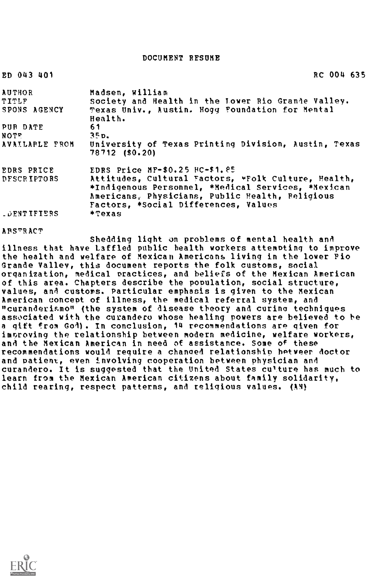DOCUMENT RESUME

| ED 043 401         | RC 004 635                                                                                                                                                                                           |
|--------------------|------------------------------------------------------------------------------------------------------------------------------------------------------------------------------------------------------|
| <b>AUTHOR</b>      | Madsen, William                                                                                                                                                                                      |
| TITLF              | Society and Health in the Lower Rio Grande Valley.                                                                                                                                                   |
| SPONS AGENCY       | Texas Univ., Austin. Hogg Foundation for Mental<br>Health.                                                                                                                                           |
| PUB DATE           | 61                                                                                                                                                                                                   |
| <b>NOTE</b>        | 35 <sub>D</sub>                                                                                                                                                                                      |
| AVAILARLE FROM     | University of Texas Printing Division, Austin, Texas<br>$78712$ (\$0.20)                                                                                                                             |
| <b>EDRS PRICE</b>  | EDRS Price MF-\$0.25 HC-\$1.85                                                                                                                                                                       |
| <b>DESCRIPTORS</b> | Attitudes, Cultural Factors, *Folk Culture, Health,<br>*Indigenous Personnel, *Medical Services, *Mexican<br>Americans, Physicians, Public Health, Religious<br>Factors, *Social Differences, Values |
| .DENTIFIERS        | *Texas                                                                                                                                                                                               |
|                    |                                                                                                                                                                                                      |

**ABSTRACT** 

Shedding light on problems of mental health and illness that have Laffled public health workers attempting to improve the health and welfare of Mexican Americans living in the lower Pio Grande Valley, this document reports the folk customs, social organization, medical practices, and beliefs of the Mexican American of this area. Chapters describe the population, social structure, values, and customs. Particular emphasis is given to the Mexican American concept of illness, the medical referral system, and "curanderismo" (the system of disease theory and curing techniques associated with the curandero whose healing powers are believed to he a gift from God). In conclusion, 14 recommendations are given for improving the relationship between modern medicine, welfare workers, and the Mexican American in need of assistance. Some of these recommendations would require a changed relationship betweer doctor and patient, even involving cooperation between physician and curandero. It is suggested that the United States culture has much to learn from the Mexican American citizens about family solidarity, child rearing, respect patterns, and religious values. (AN)

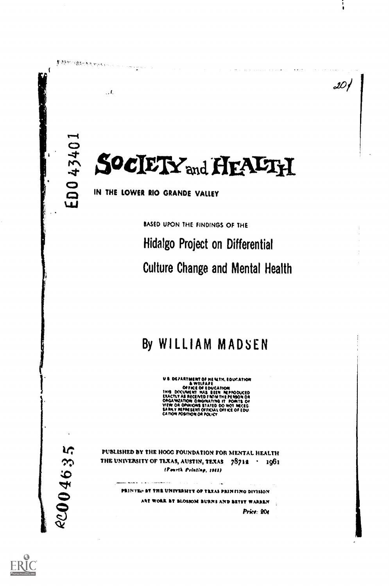Q Designation of the contract of the contract of the contract of the contract of the contract of the contract Society<sub>and</sub> HEALTH

 $\bullet$   $\bullet$   $\bullet$   $\bullet$   $\bullet$ IN THE LOWER RIO GRANDE VALLEY

 $\overline{N}$ 

 $\mathcal{O}(\mathcal{O}(\log n_{\rm max}))$ 

r,

**美国物理机构有机构的** 

**RC004635** 

BASED UPON THE FINDINGS OF THE

Hidalgo Project on Differential

Culture Change and Mental Health

 $10/$ 

### By WILLIAM MADSEN

**US DEFARTMENT OF HEMITA, EDUCATION<br>A WILFAFE COFFICE PROCATION<br>OFFICE OF EDUCATION<br>THIS DOCUMENT INS BEEN INFINODUCED<br>EXACTLY AS RECENTED FROM THE FERION OR<br>ORGANIZATION ORIGINATING IT FORTS OF<br>NEW OR OPHNONS STATED DO NO** 

PUBLISHED BY THE HOOG FOUNDATION FOR MENTAL HEALTH THE UNIVERSITY OF TEXAS, AUSTIN, TEXAS  $78718 + 1961$ (Fourth Printing, 1911)

printed at Stri University of Texas Printing division<br>ASS WORK AT SLOSSOM BURNS AND BETST WARREN<br>*Price: 20e*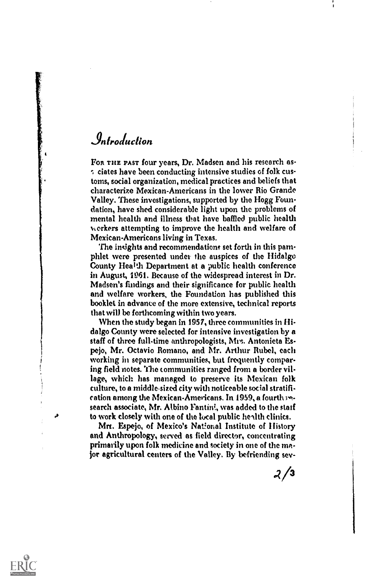### introduction

FOR THE PAST four years, Dr, Madsen and his research as- ; ciates have been conducting intensive studies of folk customs, social organization, medical practices and beliefs that characterize Mexican-Americans in the lower Rio Grande Valley. These investigations, supported by the Hogg Foundation, have shed considerable light upon the problems of mental health and illness that have baffled public health workers attempting to improve the health and welfare of Mexican-Americans living in Texas.

The insights and recommendations set forth in this pamphlet were presented under the auspices of the Hidalgo County Health Department at a public health conference in August, 1961. Because of the widespread interest in Dr. Madsen's findings and their significance for public health and welfare workers, the Foundation has published this booklet in advance of the more extensive, technical reports that will be forthcoming within two years.

When the study began in 1957, three communities in Hidalgo County were selected for intensive investigation by a staff of three full-time anthropologists, Mrs. Antonieta Espejo, Mr. Octavio Romano, and Mr. Arthur Rubel, each working in separate communities, but frequently comparing field notes. The communities ranged from a border village, which has managed to preserve its Mexican folk culture, to a middle-sized city with noticeable social stratification among the Mexican-Americans. In 1959, a fourth research associate, Mr. Albino Fantini, was added to the staff to work closely with one of the local public health clinics.

Mrs. Espejo, of Mexico's National Institute of History and Anthropology, served as field director, concentrating primarily upon folk medicine and society in one of the major agricultural centers of the Valley. By befriending sev-

 $2/3$ 

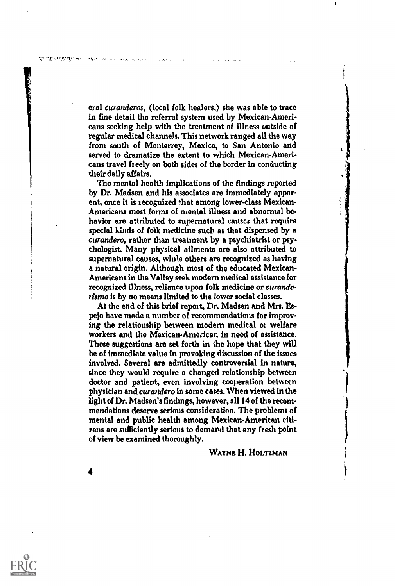eral curanderos, (local folk healers,) she was able to trace in fine detail the referral system used by Mexican-Americans seeking help with the treatment of illness outside of regular medical channels. This network ranged all the way from south of Monterrey, Mexico, to San Antonio and served to dramatize the extent to which Mexican-Americans travel freely on both sides of the border in conducting their daily affairs.

The mental health implications of the findings reported by Dr. Madsen and his associates are immediately apparent, once it is recognized that among lower-class Mexican-Americans most forms of mental illness and abnormal behavior are attributed to supernatural causes that require special kinds of folk medicine such as that dispensed by a curandero, rather than treatment by a psychiatrist or psychologist. Many physical ailments are also attributed to supernatural causes, while others are recognized as having a natural origin. Although most of the educated Mexican-Americans in the Valley seek modern medical assistance for recognized illness, reliance upon folk medicine or curanderismo is by no means limited to the lower social classes.

At the end of this brief report, Dr. Madsen and Mrs. Espejo have made a number of recommendations for improving the relationship between modern medical or welfare workers and the Mexican-American in need of assistance. These suggestions are set forth in ihe hope that they will be of immediate value in provoking discussion of the issues involved. Several are admittedly controversial in nature, since they would require a changed relationship between doctor and patient, even involving cooperation between physician and curandero in some cases. When viewed in the light of Dr. Madsen's findings, however, all 14 of the recommendations deserve serious consideration. The problems of mental and public health among Mexican-American citizens are sufficiently serious to demand that any fresh point of view be examined thoroughly.

#### WATNE H. HOLTZMAN

 $\mathbf{v}_1$  -  $\mathbf{v}_2$ 

**RESIDENT AND IN THE R** 

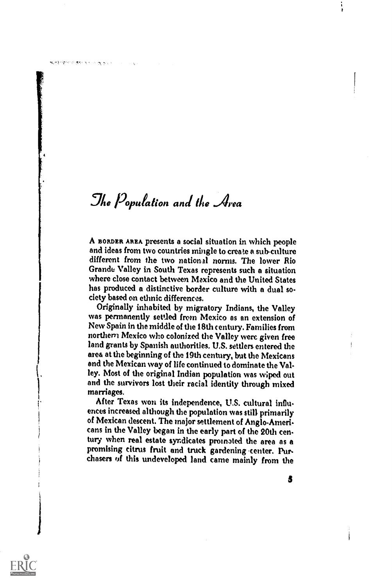## The Population and the Area

ম্বেশিক্ষাগতাপ্তান অন্যান্ত অন্তৰ্ভুক্ত আ

A BORDER AREA presents a social situation in which people and ideas from two countries mingle to create a sub-culture different from the two national norms. The lower Rio Grande Valley in South Texas represents such a situation where close contact between Mexico and the United States has produced a distinctive border culture with a dual so ciety based on ethnic differences.

Originally inhabited by migratory Indians, the Valley was permanently settled from Mexico as an extension of New Spain in the middle of the 18th century. Families from northern Mexico who colonized the Valley were given free land grants by Spanish authorities. U.S. settlers entered the area at the beginning of the 19th century, but the Mexicans and the Mexican way of life continued to dominate the Valley. Most of the original Indian population was wiped out and the survivors lost their racial identity through mixed marriages.

After Texas won its independence. U.S. cultural influences increased although the population was still primarily of Mexican descent. The major settlement of Anglo-Americans in the Valley began in the early part of the 20th century when real estate syndicates promoted the area as a promising citrus fruit and truck gardening center. Put. chasers of this undeveloped land came mainly from the

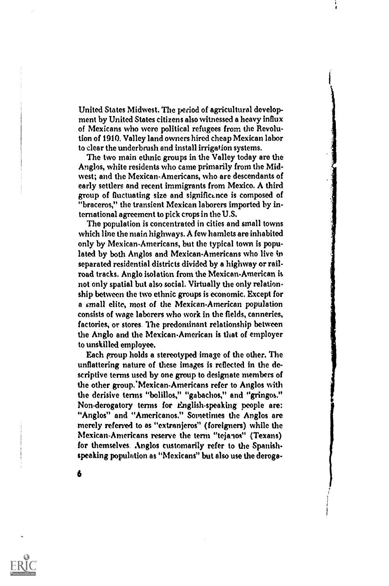United States Midwest. The period of agricultural development by United States citizens also witnessed a heavy influx of Mexicans who were political refugees from the Revolution of 1910. Valley land owners hired cheap Mexican labor to clear the underbrush and install irrigation systems.

The two main ethnic groups in the Valley today are the Anglos, white residents who came primarily from the Midwest; and the Mexican-Americans, who are descendants of early settlers and recent immigrants from Mexico. A third group of fluctuating size and significance is composed of "braceros," the transient Mexican laborers imported by international agreement to pick crops in the U.S.

The population is concentrated in cities and small towns which line the main highways. A few hamlets are inhabited only by Mexican-Americans, but the typical town is populated by both Anglos and Mexican-Americans who live in separated residential districts divided by a highway or railroad tracks. Anglo isolation from the Mexican-American is not only spatial but also social. Virtually the only relationship between the two ethnic groups is economic. Except for a small elite, most of the Mexican-American population consists of wage laborers who work in the fields, canneries, factories, or stores. The predominant relationship between the Anglo and the Mexican-American is that of employer to unskilled employee.

Each group holds a stereotyped image of the other. The unflattering nature of these images is reflected in the descriptive terms used by one group to designate members of the other group.'Mexican-Americans refer to Anglos with the derisive terms "bolillos," "gabachos," and "gringos." Non-derogatory terms for English-speaking people are: "Anglos" and "Americanos." Sometimes the Anglos are merely referred to as "extranjeros" (foreigners) while the Mexican-Americans reserve the term "tejanos" (Texans) for themselves. Anglos customarily refer to the Spanishspeaking population as "Mexicans" but also use the deroga-

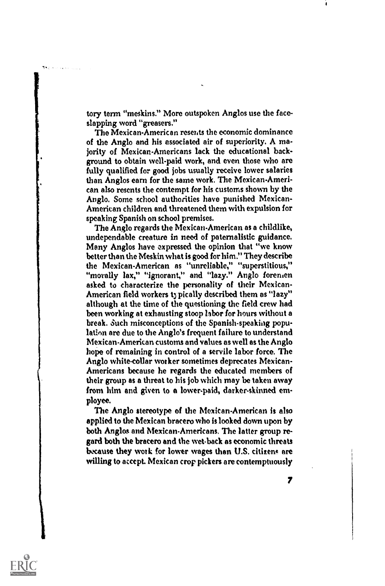tory term "meskins." More outspoken Anglos use the faceslapping word "greasers."

The Mexican-American resents the economic dominance of the Anglo and his associated air of superiority. A majority of Mexican-Americans lack the educational background to obtain well-paid work, and even those who are fully qualified for good jobs usually receive lower salaries than Anglos earn for the same work. The Mexican-American also resents the contempt for his customs shown by the Anglo. Some school authorities have punished Mexican-American children and threatened them with expulsion for speaking Spanish on school premises.

The Anglo regards the Mexican-American as a childlike, undependable creature in need of paternalistic guidance. Many Anglos have expressed the opinion that "we know better than the Meskin what Is good for him." They describe the Mexican-American as "unreliable," "superstitious," "morally lax," "ignorant," and "lazy." Anglo forenien asked to characterize the personality of their Mexican-American field workers typically described them as "lazy" although at the time of the questioning the field crew had been working at exhausting stoop labor for hours without a break. Such misconceptions of the Spanish-speaking population are due to the Anglo's frequent failure to understand Mexican-American customs and values as well as the Anglo hope of remaining in control of a servile labor force. The Anglo white-collar worker sometimes deprecates Mexican-Americans because he regards the educated members of their group as a threat to his job which may be taken away from him and given to a lower-paid, darker-skinned employee.

The Anglo stereotype of the Mexican-American is also applied to the Mexican bracero who is looked down upon by both Anglos and Mexican-Americans. The latter group regard both the bracero and the wet-back as economic threats because they work for lower wages than U.S. citizens are willing to accept. Mexican crop pickers are contemptuously

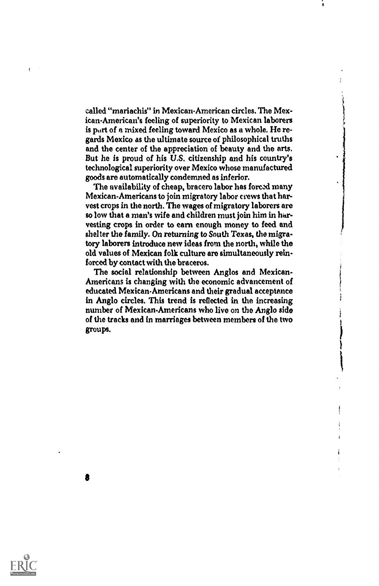called "mariachis" in Mexican-American circles. The Mexican-American's feeling of superiority to Mexican laborers is part of a mixed feeling toward Mexico as a whole. He regards Mexico as the ultimate source of philosophical truths and the center of the appreciation of beauty and the arts. But he is proud of his U.S. citizenship and his country's technological superiority over Mexico whose manufactured goods are automatically condemned as inferior.

The availability of cheap, bracero labor has forced many Mexican-Americans to join migratory labor crews that harvest crops in the north. The wages of migratory laborers are so low that a man's wife and children must join him in harvesting crops in order to earn enough money to feed and shelter the family. On returning to South Texas, the migratory laborers introduce new ideas from the north, while the old values of Mexican folk culture are simultaneously reinforced by contact with the braceros.

The social relationship between Anglos and Mexican-Americans is changing with the economic advancement of educated Mexican-Americans and their gradual acceptance in Anglo circles. This trend is reflected in the increasing number of Mexican-Americans who live on the Anglo side of the tracks and in marriages between members of the two groups.

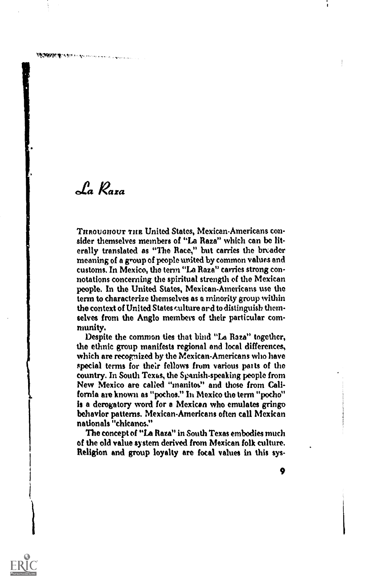## otia Rasa

THROUGHOUT THE United States, Mexican-Americans consider themselves members of "La Reza" which can be literally translated as "The Race," but carries the breader meaning of a group of people united by common values and customs. In Mexico, the term "La Raze" carries strong connotations concerning the spiritual strength of the Mexican people. In the United States, Mexican-Americans use the term to characterize themselves as a minority group within the context of United States culture and to distinguish themselves from the Anglo members of their particular community.

Despite the common ties that bind "La Raza" together, the ethnic group manifests regional and local differences, which are recognized by the Mexican-Americans who have special terms for their fellows from various parts of the country. In South Texas, the Spanish-speaking people from New Mexico are called "inanitos" and those from California are known as "pochos." In Mexico the term " pocho" is a derogatory word for a Mexican who emulates gringo behavior patterns. Mexican-Americans often call Mexican nationals "chicanos."

The concept of "La Raze" in South Texas embodies much of the old value system derived from Mexican folk culture. Religion and group loyalty are focal values in this sys-



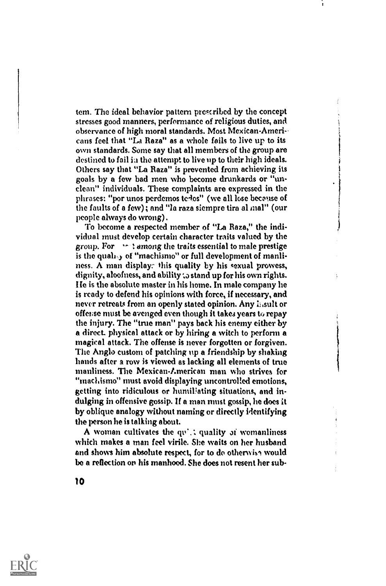tem. The ideal behavior pattern preg: ribed by the concept stresses good manners, performance of religious duties, and observance of high moral standards. Most Mexican-Americans feel that "La Raza" as a whole fails to live up to its own standards. Some say that all members of the group are destined to fail in the attempt to live up to their high ideals. Others say that "La Raza" is prevented from achieving its goals by a few bad men who become drunkards or "unclean" individuals. These complaints are expressed in the phrases: "por unos perdemos todos" (we all lose because of the faults of a few); and "la raza siempre tira al mal" (our people always do wrong).

To become a respected member of "La Raza," the individual must develop certain character traits valued by the group. For  $\cdots$  temong the traits essential to male prestige is the quality of "machismo" or full development of manliness. A man display. this quality by his sexual prowess, dignity, aloofness, and ability '.o stand up for his own rights. He is the absolute master in his home. In male company he is ready to defend his opinions with force, if necessary, and never retreats from an openly stated opinion. Any insult or offense must be avenged even though it takes years to repay the injury. The "true man" pays back his enemy either by a direct. physical attack or by hiring a witch to perform a magical attack. The offense is never forgotten or forgiven. The Anglo custom of patching up a friendship by shaking hands after a row is viewed as lacking all elements of true manliness. The Mexican-Lmerican man who strives for "machismo" must avoid displaying uncontrolled emotions, getting into ridiculous or humiliating situations, and indulging in offensive gossip. If a man must gossip, he does it by oblique analogy without naming or directly identifying the person he is talking about.

A woman cultivates the  $qv'$ . quality of womanliness which makes a man feel virile. She waits on her husband and shows him absolute respect, for to do otherwise would be a reflection on his manhood. She does not resent her sub-

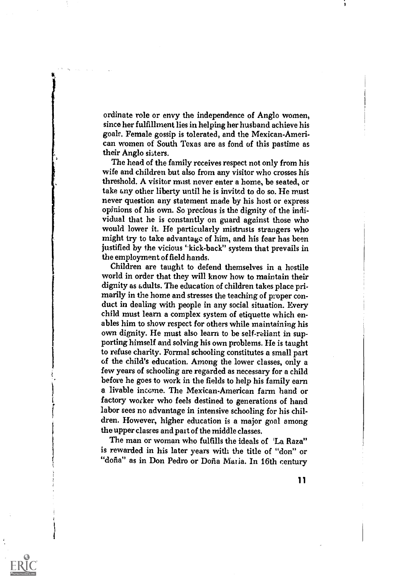ordinate role or envy the independence of Anglo women, since her fulfillment lies in helping her husband achieve his pale. Female gossip is tolerated, and the Mexican-American women of South Texas are as fond of this pastime as their Anglo sisters.

The head of the family receives respect not only from his wife and children but also from any visitor who crosses his threshold. A visitor must never enter a home, be seated, or take any other liberty until he is invited to do so. He must never question any statement made by his host or express opinions of his own. So precious is the dignity of the individual that he is constantly on guard against those who would lower it. He particularly mistrusts strangers who might try to take advantage of him, and his fear has been justified by the vicious "kick-back" system that prevails in the employment of field hands.

Children are taught to defend themselves in a hostile world in order that they will know how to maintain their dignity as adults. The education of children takes place primarily in the home and stresses the teaching of proper conduct in dealing with people in any social situation. Every child must learn a complex system of etiquette which enables him to show respect for others while maintaining his own dignity. He must also learn to be self-reliant in supporting himself and solving his own problems. He is taught to refuse charity. Formal schooling constitutes a small part of the child's education. Among the lower classes, only a few years of schooling are regarded as necessary for a child before he goes to work in the fields to help his family earn a livable income. The Mexican-American farm hand or factory worker who feels destined to generations of hand labor sees no advantage in intensive schooling for his children. However, higher education is a major goal among the upper classes and part of the middle classes.

The man or woman who fulfills the ideals of 'La Raze" is rewarded in his later years with the title of "don" or "dofia" as in Don Pedro or Dofia Maria. In 16th century



11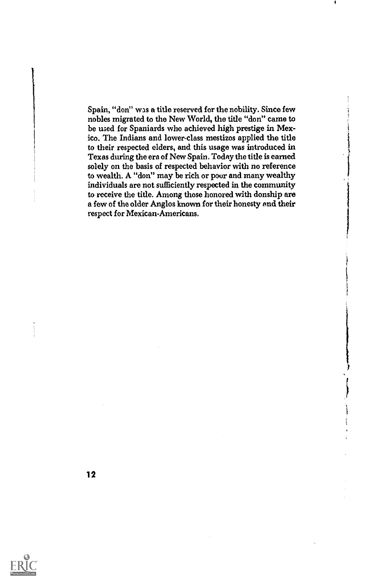Spain, "don" was a title reserved for the nobility. Since few nobles migrated to the New World, the title "don" came to be used for Spaniards who achieved high prestige in Mexico. The Indians and lower-class mestizos applied the title to their respected elders, and this usage was introduced in Texas during the era of New Spain. Today the title is earned solely on the basis of respected behavior with no reference to wealth. A "don" may be rich or pour and many wealthy individuals are not sufficiently respected in the community to receive the title. Among those honored with donship are a few of the older Anglos known for their honesty and their respect for Mexican-Americans.

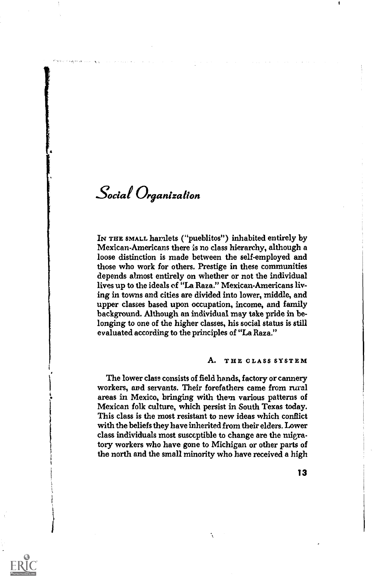# Social Organization

IN THE SMALL hamlets ("pueblitos") inhabited entirely by Mexican-Americans there is no class hierarchy, although a loose distinction is made between the self-employed and those who work for others. Prestige in these communities depends almost entirely on whether or not the individual lives up to the ideals of "La Raza." Mexican-Americans living in towns and cities are divided into lower, middle, and upper classes based upon occupation, income, and family background. Although an individual may take pride in belonging to one of the higher classes, his social status is still evaluated according to the principles of "La Raza."

#### A. THE CLASS SYSTEM

The lower class consists of field hands, factory or cannery workers, and servants. Their forefathers came from rural areas in Mexico, bringing with them various patterns of Mexican folk culture, which persist in South Texas today. This class is the most resistant to new ideas which conflict with the beliefs they have inherited from their elders. Lower class individuals most susceptible to change are the migratory workers who have gone to Michigan or other parts of the north and the small minority who have received a high

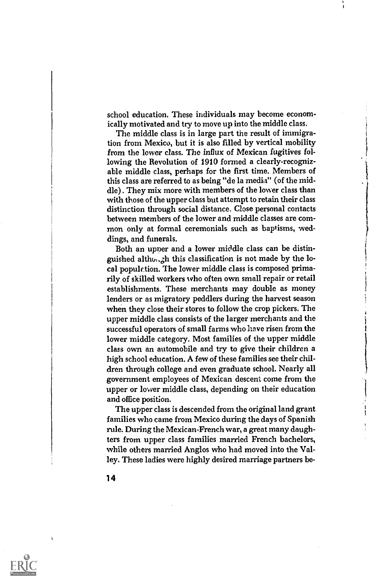school education. These individuals may become economically motivated and try to move up into the middle class.

The middle class is in large part the result of immigration from Mexico, but it is also filled by vertical mobility from the lower class. The influx of Mexican fugitives following the Revolution of 1910 formed a clearly-recognizable middle class, perhaps for the first time. Members of this class are referred to as being "de la media" (of the middle) . They mix more with members of the lower class than with those of the upper class but attempt to retain their class distinction through social distance. Close personal contacts between members of the lower and middle classes are common only at formal ceremonials such as baptisms, weddings, and funerals.

Both an upner and a lower middle class can be distinguished althor, this classification is not made by the local popuktion. The lower middle class is composed primarily of skilled workers who often own small repair or retail establishments. These merchants may double as money lenders or as migratory peddlers during the harvest season when they close their stores to follow the crop pickers. The upper middle class consists of the larger merchants and the successful operators of small farms who have risen from the lower middle category. Most families of the upper middle class own an automobile and try to give their children a high school education. A few of these families see their children through college and even graduate school. Nearly all government employees of Mexican descent come from the upper or lower middle class, depending on their education and office position.

The upper class is descended from the original land grant families who came from Mexico during the days of Spanish rule. During the Mexican-French war, a great many daughters from upper class families married French bachelors, while others married Anglos who had moved into the Valley. These ladies were highly desired marriage partners be-

14

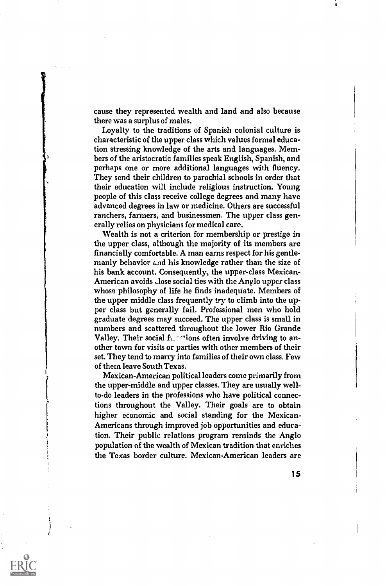cause they represented wealth and land and also because there was a surplus of males.

Loyalty to the traditions of Spanish colonial culture is characteristic of the upper class which values formal education stressing knowledge of the arts and languages. Members of the aristocratic families speak English, Spanish, and perhaps one or more additional languages with fluency. They send their children to parochial schools in order that their education will include religious instruction. Young people of this class receive college degrees and many have advanced degrees in law or medicine. Others are successful ranchers, farmers, and businessmen. The upper class generally relies on physicians for medical care.

Wealth is not a criterion for membership or prestige in the upper class, although the majority of its members are financially comfortable. A man earns respect for his gentlemanly behavior and his knowledge rather than the size of his bank account. Consequently, the upper-class Mexican-American avoids Jose social ties with the Anglo upper class whose philosophy of life he finds inadequate. Members of the upper middle class frequently try to climb into the upper class but generally fail. Professional men who hold graduate degrees may succeed. The upper class is small in numbers and scattered throughout the lower Rio Grande Valley. Their social fultations often involve driving to another town for visits or parties with other members of their set. They tend to marry into families of their own class. Few of them leave South Texas.

Mexican-American political leaders come primarily from the upper-middle and upper classes. They are usually wellto-do leaders in the professions who have political connections throughout the Valley. Their goals are to obtain higher economic and social standing for the Mexican-Americans through improved job opportunities and education. Their public relations program reminds the Anglo population of the wealth of Mexican tradition that enriches the Texas border culture. Mexican-American leaders are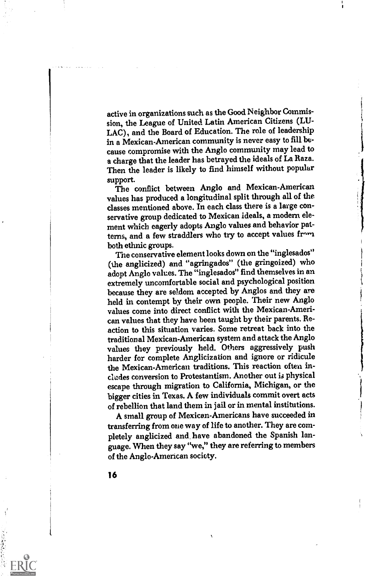active in organizations such as the Good Neighbor Commission, the League of United Latin American Citizens (LU-LAC), and the Board of Education. The role of leadership in a Mexican-American community is never easy to fill because compromise with the Anglo community may lead to a charge that the leader has betrayed the ideals of La Raza. Then the leader is likely to find himself without popular

support. The conflict between Anglo and Mexican-American values has produced a longitudinal split through all of the classes mentioned above. In each class there is a large conservative group dedicated to Mexican ideals, a modem element which eagerly adopts Anglo values and behavior patterns, and a few straddlers who try to accept values from both ethnic groups.

The conservative element looks down on the "inglesados" (the anglicized) and "agringados" (the gringoized) who adopt Anglo values. The "inglesados" find themselves in an extremely uncomfortable social and psychological position because they are seldom accepted by Anglos and they are held in contempt by their own people. Their new Anglo values come into direct conflict with the Mexican-American values that they have been taught by their parents. Reaction to this situation varies. Some retreat back into the traditional Mexican-American system and attack the Anglo values they previously held. Others aggressively push harder for complete Anglicization and ignore or ridicule the Mexican-American traditions. This reaction often includes conversion to Protestantism. Another out is physical escape through migration to California, Michigan, or the bigger cities in Texas. A few individuals commit overt acts of rebellion that land them in jail or in mental institutions.

A small group of Mexican-Americans have succeeded in transferring from one way of life to another. They are completely anglicized and. have abandoned the Spanish language. When they say "we," they are referring to members of the Anglo-American society.

16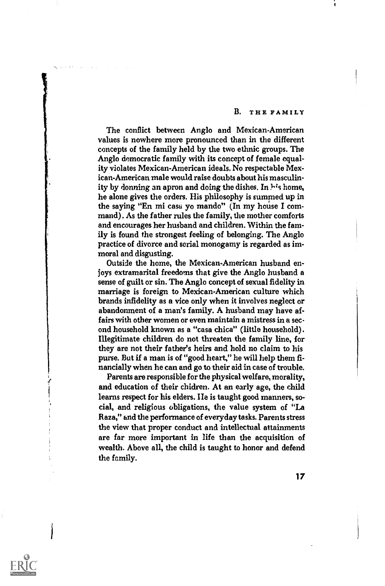#### B. THE FAMILY

4

The conflict between Anglo and Mexican-American values is nowhere more pronounced than in the different concepts of the family held by the two ethnic groups. The Anglo democratic family with its concept of female equality violates Mexican-American ideals. No respectable Mexican-American male would raise doubts about his masculinity by donning an apron and doing the dishes. In  $\mathbb{N}^2$  home, he alone gives the orders. His philosophy is summed up in the saying "En mi case yo mando" (In my house I command). As the father rules the family, the mother comforts and encourages her husband and children. Within the family is found the strongest feeling of belonging. The Anglo practice of divorce and serial monogamy is regarded as immoral and disgusting.

Outside the home, the Mexican-American husband enjoys extramarital freedoms that give the Anglo husband a sense of guilt or sin. The Anglo concept of sexual fidelity in marriage is foreign to Mexican-American culture which brands infidelity as a vice only when it involves neglect or abandonment of a man's family. A husband may have affairs with other women or even maintain a mistress in a second household known as a "case chica" (little household). Illegitimate children do not threaten the family line, for they are not their father's heirs and hold no claim to his purse. But if a man is of "good heart," he will help them financially when he can and go to their aid in case of trouble.

Parents are responsible for the physical welfare, morality, and education of their chidren. At an early age, the child learns respect for his elders. IIe is taught good manners, social, and religious obligations, the value system of "La Raze," and the performance of everyday tasks. Parents stress the view that proper conduct and intellectual attainments are far more important in life than the acquisition of wealth. Above all, the child is taught to honor and defend the family.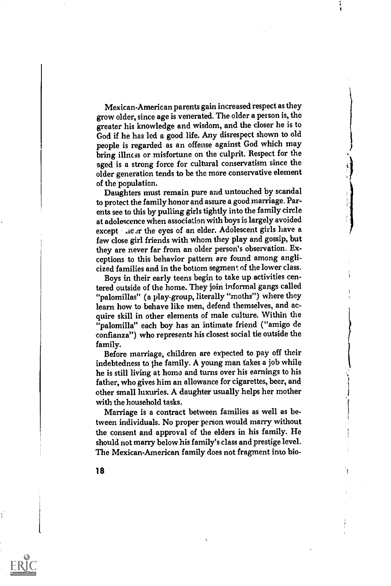Mexican-American parents gain increased respect as they grow older, since age is venerated. The older a person is, the greater his knowledge and wisdom, and the closer he is to God if he has led a good life. Any disrespect shown to old people is regarded as an offense against God which may bring illncss or misfortune on the culprit. Respect for the aged is a strong force for cultural conservatism since the older generation tends to be the more conservative element of the population.

Daughters must remain pure and untouched by scandal to protect the family honor and assure a good marriage. Parents see to this by pulling girls tightly into the family circle at adolescence when association with boys is largely avoided except ac er the eyes of an elder. Adolescent girls have a few close girl friends with whom they play and gossip, but they are never far from an older person's observation. Exceptions to this behavior pattern are found among anglicized families and in the bottom segment of the lower class.

Boys in their early teens begin to take up activities centered outside of the home. They join informal gangs called "palomillas" (a play-group, literally "moths") where they learn how to behave like men, defend themselves, and acquire skill in other elements of male culture. Within the "palomilla" each boy has an intimate friend ("amigo de confianza") who represents his closest social tie outside the family.

Before marriage, children are expected to pay off their indebtedness to the family. A young man takes a job while he is still living at home and turns over his earnings to his father, who gives him an allowance for cigarettes, beer, and other small luxuries. A daughter usually helps her mother with the household tasks.

Marriage is a contract between families as well as between individuals. No proper person would marry without the consent and approval of the elders in his family. He should not marry below his family's class and prestige level. The Mexican-American family does not fragment into bio-

18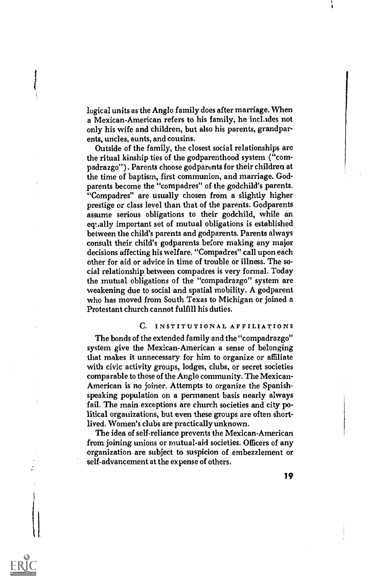logical units as the Anglo family does after marriage. When a Mexican-American refers to his family, he inclades not only his wife and children, but also his parents, grandparents, uncles, aunts, and cousins.

Outside of the family, the closest social relationships are the ritual kinship ties of the godparenthood system ("compadrazgo") . Parents choose godparents for their children at the time of baptism, first communion, and marriage. Godparents become the "compadres" of the godchild's parents. "Compadres" are usually chosen from a slightly higher prestige or class level than that of the parents. Godparents assume serious obligations to their godchild, while an equally important set of mutual obligations is established between the child's parents and godparents. Parents always consult their child's godparents before making any major decisions affecting his welfare. "Compadres" call upon each other for aid or advice in time of trouble or illness. The social relationship between compadres is very formal. Today the mutual obligations of the "compadrazgo" system are weakening due to social and spatial mobility. A godparent who has moved from South Texas to Michigan or joined a Protestant church cannot fulfill his duties.

#### C. INSTITUTIONAL AFFILIATIONS

The bonds of the extended family and the "compadrazgo" system give the Mexican-American a sense of belonging that makes it unnecessary for him to organize or affiliate with civic activity groups, lodges, clubs, or secret societies comparable to those of the Anglo community. The Mexican-American is no joiner. Attempts to organize the Spanishspeaking population on a permanent basis nearly always fail. The main exceptions are church societies and city political organizations, but even these groups are often shortlived. Women's clubs are practically unknown.

The idea of self-reliance prevents the Mexican-American from joining unions or mutual-aid societies. Officers of any organization are subject to suspicion of embezzlement or self-advancement at the expense of others.

19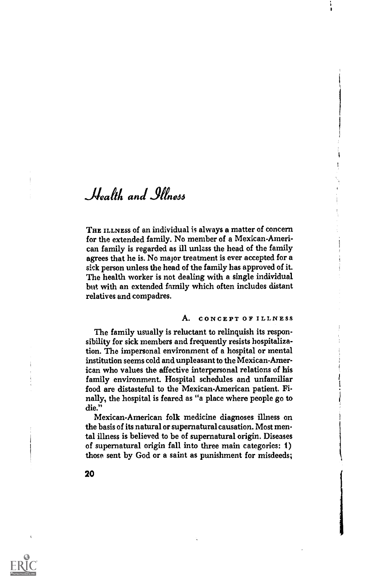### Health and Illness

THE ILLNESS of an individual is always a matter of concern for the extended family. No member of a Mexican-American family is regarded as ill unless the head of the family agrees that he is. No major treatment is ever accepted for a sick person unless the head of the family has approved of it. The health worker is not dealing with a single individual but with an extended family which often includes distant relatives and compadres.

#### A. CONCEPT OF ILLNESS

The family usually is reluctant to relinquish its responsibility for sick members and frequently resists hospitalization. The impersonal environment of a hospital or mental institution seems cold and unpleasant to the Mexican-American who values the affective interpersonal relations of his family environment. Hospital schedules and unfamiliar food are distasteful to the Mexican-American patient. Finally, the hospital is feared as "a place where people go to die."

Mexican-American folk medicine diagnoses illness on the basis of its natural or supernatural causation. Most mental illness is believed to be of supernatural origin. Diseases of supernatural origin fall into three main categories: 1) those sent by God or a saint as punishment for misdeeds;

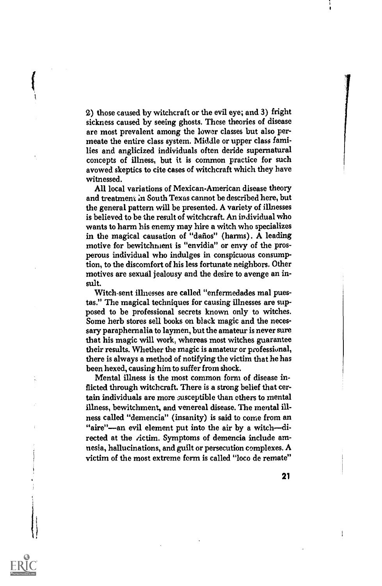2) those caused by witchcraft or the evil eye; and 3) fright sickness caused by seeing ghosts. These theories of disease are most prevalent among the lower classes but also permeate the entire class system. Middle or upper class families and anglicized individuals often deride supernatural concepts of illness, but it is common practice for such avowed skeptics to cite cases of witchcraft which they have witnessed.

All local variations of Mexican-American disease theory and treatment in South Texas cannot be described here, but the general pattern will be presented. A variety of illnesses is believed to be the result of witchcraft. An individual who wants to harm his enemy may hire a witch who specializes in the magical causation of "daños" (harms). A leading motive for bewitchment is "envidia" or envy of the prosperous individual who indulges in conspicuous consumption, to the discomfort of his less fortunate neighbors. Other motives are sexual jealousy and the desire to avenge an insult.

Witch-sent illnesses are called "enfermedades mal puestas." The magical techniques for causing illnesses are supposed to be professional secrets known only to witches. Some herb stores sell books on black magic and the necessary paraphernalia to laymen, but the amateur is never sure that his magic will work, whereas most witches guarantee their results. Whether the magic is amateur or professiunal, there is always a method of notifying the victim that he has been hexed, causing him to suffer from shock.

Mental illness is the most common form of disease inflicted through witchcraft. There is a strong belief that certain individuals are more susceptible than others to mental illness, bewitchment, and venereal disease. The mental illness called "demencia" (insanity) is said to come from an "aire"-an evil element put into the air by a witch-directed at the *r*ictim. Symptoms of demencia include amnesia, hallucinations, and guilt or persecution complexes. A victim of the most extreme form is called "loco de remate"

21

Í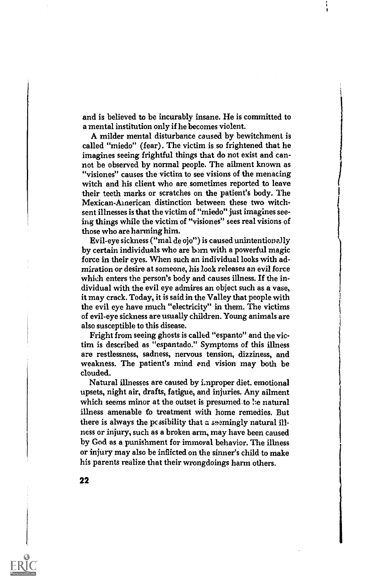and is believed to be incurably insane. He is committed to a mental institution only if he becomes violent.

A milder mental disturbance caused by bewitchment is called "miedo" (fear). The victim is so frightened that he imagines seeing frightful things that do not exist and cannot be observed by normal people. The ailment known as "visiones" causes the victim to see visions of the menacing witch and his client who are sometimes reported to leave their teeth marks or scratches on the patient's body. The Mexican-American distinction between these two witchsent illnesses is that the victim of "miedo" just imagines seeing things while the victim of "visiones" sees real visions of those who are harming him.

Evil-eye sickness ("mal de ojo") is caused unintentionally by certain individuals who are born with a powerful magic force in their eyes. When such an individual looks with admiration or desire at someone, his look releases an evil force which enters the person's body and causes illness. If the individual with the evil eye admires an object such as a vase, it may crack. Today, it is said in the Valley that people with the evil eye have much "electricity" in them. The victims of evil-eye sickness are usually children. Young animals are also susceptible to this disease.

Fright from seeing ghosts is called "espanto" and the victim is described as "espantado." Symptoms of this illness are restlessness, sadness, nervous tension, dizziness, and weakness. The patient's mind end vision may both be clouded.

Natural illnesses are caused by i.nproper diet. emotional upsets, night air, drafts, fatigue, and injuries. Any ailment which seems minor at the outset is presumed to be natural illness amenable to treatment with home remedies. But there is always the possibility that a seemingly natural illness or injury, such as a broken arm, may have been caused by God as a punishment for immoral behavior. The illness or injury may also be inflicted on the sinner's child to make his parents realize that their wrongdoings harm others.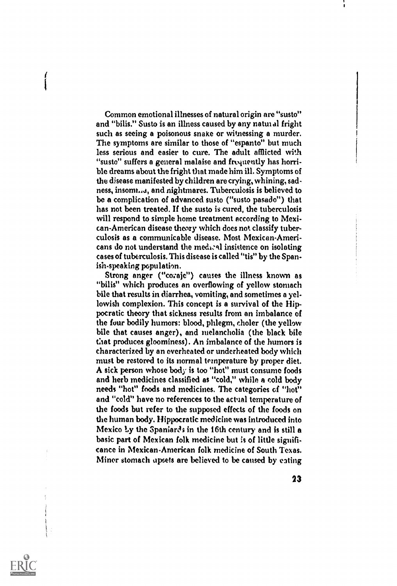Common emotional illnesses of natural origin are "susto" and "bilis." Susto is an illness caused by any natural fright such as seeing a poisonous snake or witnessing a murder. The symptoms are similar to those of "espanto" but much less serious and easier to cure. The adult afflicted with "susto" suffers a general malaise and frequently has horrible dreams about the fright that made him ill. Symptoms of the disease manifested by children are crying, whining, sadness, insonn.,d, and nightmares. Tuberculosis is believed to be a complication of advanced susto ("susto pasado") that has not been treated. If the susto is cured, the tuberculosis will respond to simple home treatment according to Mexican-American disease theory which does not classify tuberculosis as a communicable disease. Most Mexican-Americans do not understand the medis-al insistence on isolating cases of tuberculosis. This disease is called "tis" by the Spanish-speaking population.

Strong anger ("coraje") causes the illness known as "bilis" which produces an overflowing of yellow stomach bile that results in diarrhea, vomiting, and sometimes a yellowish complexion. This concept is a survival of the Hippocratic theory that sickness results from an imbalance of the four bodily humors: blood, phlegm, choler (the yellow bile that causes anger), and melancholia (the black bile that produces gloominess). An imbalance of the humors is characterized by an overheated or underheated body which must be restored to its normal temperature by proper diet. A sick person whose body is too "hot" must consume foods and herb medicines classified as "cold," while a cold body needs "hot" foods and medicines. The categories cf "hot" and "cold" have no references to the actual temperature of the foods but refer to the supposed effects of the foods on the human body. Hippocratic medicine was introduced into Mexico Ly the Spaniards in the 16th century and is still a basic part of Mexican folk medicine but is of little significance in Mexican-American folk medicine of South Texas. Minor stomach upsets are believed to be caused by enting

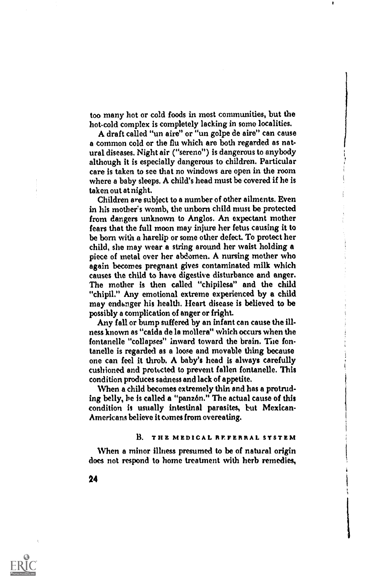too many hot or cold foods in most communities, but the hot-cold complex is completely lacking in some localities.

A draft called "un aire" or "un goipe de aire" can cause a common cold or the flu which are both regarded as natural diseases. Night air ("sereno") is dangerous to anybody although it is especially dangerous to children. Particular care is taken to see that no windows are open in the room where a baby sleeps. A child's head must be covered if he is taken out at night.

Children are subject to a number of other ailments. Even in his mother's womb, the unborn child must be protected from dangers unknown to Anglos. An expectant mother fears that the full moon may injure her fetus causing it to be born with a harelip or some other defect. To protect her child, she may wear a string around her waist holding a piece of metal over her abdomen. A nursing mother who again becomes pregnant gives contaminated milk which causes the child to have digestive disturbance and anger. The mother is then called "chipilesa" and the child "chipil." Any emotional extreme experienced by a child may endanger his health. Heart disease is believed to be possibly a complication of anger or fright.

Any fall or bump suffered by an infant can cause the illness known as "caida de in mollera" which occurs when the fontanelle "collapses" inward toward the brain. The fontanelle is regarded as a loose and movable thing because one can feel it throb. A baby's head is always carefully cushioned and protected to prevent fallen fontanelle. This condition produces sadness and lack of appetite.

When a child becomes extremely thin and has a protruding belly, he is called a "panz6n." The actual cause of this condition is usually intestinal parasites, but Mexican-Americans believe it comes from overeating.

#### B. THE MEDICAL REFERRAL SYSTEM

When a minor illness presumed to be of natural origin does not respond to home treatment with herb remedies,

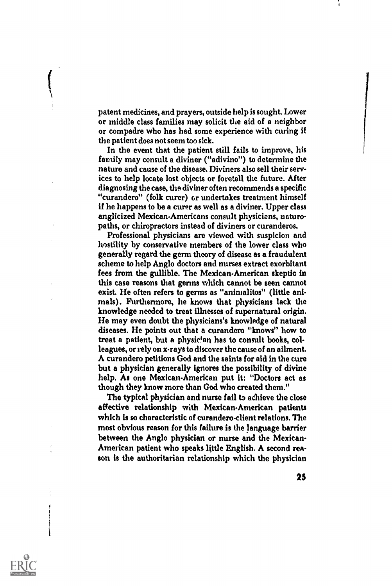patent medicines, and prayers, outside help is sought. Lower or middle class families may solicit the aid of a neighbor or compadre who has had some experience with curing if the patient does not seem too sick.

In the event that the patient still fails to improve, his family may consult a diviner ("adivino") to determine the nature and cause of the disease. Diviners also sell their services to help locate lost objects or foretell the future. After diagnosing the case, the diviner often recommends a specific "curandero" (folk curer) or undertakes treatment himself if he happens to be a curer as well as a diviner. Upper class anglicized Mexican-Americans consult physicians, naturopaths, or chiropractors instead of diviners or curanderos.

Professional physicians are viewed with suspicion and hostility by conservative members of the lower class who generally regard the germ theory of disease as a fraudulent scheme to help Anglo doctors and nurses extract exorbitant fees from the gullible. The Mexican-American skeptic in this case reasons that genns which cannot be seen cannot exist. He often refers to germs as "animalitos" (little animals). Furthermore, he knows that physicians lack the knowledge needed to treat illnesses of supernatural origin. He may even doubt the physicians's knowledge of natural diseases. He points out that a curandero "knows" how to treat a patient, but a physic:an has to consult books, colleagues, or rely on x-rays to discover the cause of an ailment. A curandero petitions God and the saints for aid in the cure but a physician generally ignores the possibility of divine help. As one Mexican-American put it: "Doctors act as though they know more than God who created them."

The typical physician and nurse fail to achieve the close affective relationship with Mexican-American patients which is so characteristic of curandero-client relations. The most obvious reason for this failure is the language barrier between the Anglo physician or nurse and the Mexican-American patient who speaks little English. A second reason is the authoritarian relationship which the physician

 $\ddot{\tilde{z}}$ 

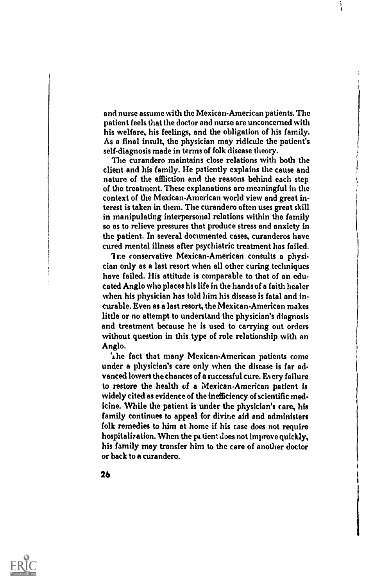and nurse assume with the Mexican-American patients. The patient feels that the doctor and nurse are unconcerned with his welfare, his feelings, and the obligation of his family. As a final insult, the physician may ridicule the patient's self-diagnosis made in terms of folk disease theory.

The curandero maintains close relations with both the client and his family. He patiently explains the cause and nature of the affliction and the reasons behind each step of the treatment. These explanations are meaningful in the context of the Mexican-American world view and great interest is taken in them. The curandero often uses great skill in manipulating interpersonal relations within the family so as to relieve pressures that produce stress and anxiety in the patient. In several documented cases, curanderos have cured mental illness after psychiatric treatment has failed.

The conservative Mexican-American consults a physician only as a last resort when all other curing techniques have failed. His attitude is comparable to that of an educated Anglo who places his life in the hands of a faith healer when his physician has told him his disease is fatal and incurable. Even as a last resort, the Mexican-American makes little or no attempt to understand the physician's diagnosis and treatment because he is used to carrying out orders without question in this type of role relationship with an Anglo.

I he fact that many Mexican-American patients come under a physician's care only when the disease is far advanced lowers the chances of a successful cure. Every failure to restore the health of a Mexican-American patient is widely cited as evidence of the inefficiency of scientific medicine. While the patient is under the physician's care, his family continues to appeal for divine aid and administers folk remedies to him at home if his case does not require hospitalization. When the pt tient does not improve quickly, his family may transfer him to the care of another doctor or back to a curandero.

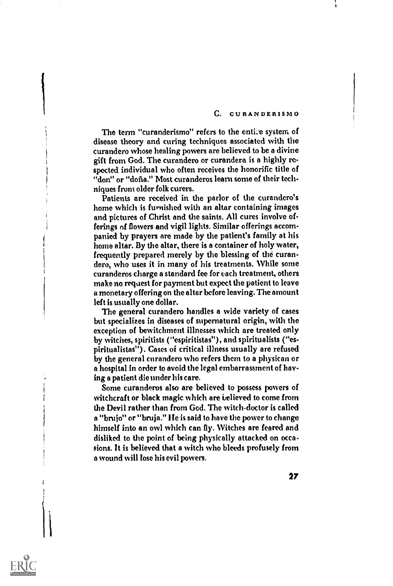#### C. CURANDERISMO

The term "curanderismo" refers to the entire system of disease theory and curing techniques associated with the curandero whose healing powers are believed to be a divine gift from God. The curandero or curandera is a highly respected individual who often receives the honorific title of "don" or "doña." Most curanderos learn some of their techniques from older folk curers.

Patients are received in the parlor of the curandero's home which is furnished with an altar containing images and pictures of Christ and the saints. All cures involve offerings of flowers and vigil lights. Similar offerings accompanied by prayers are made by the patient's family at his home altar. By the altar, there is a container of holy water, frequently prepared merely by the blessing of the curandero, who uses it in many of his treatments. While some curanderos charge a standard fee for each treatment, others make no request for payment but expect the patient to leave a monetary offering on the altar before leaving. The amount left is usually one dollar.

The general curandero handles a wide variety of cases but specializes in diseases of supernatural origin, with the exception of bewitchment illnesses which are treated only by witches, spiritists ("espiritistas"), and spiritualists ("espiritualistas"). Cases of critical illness usually are refused by the general curandero who refers them to a physican or a hospital in order to avoid the legal embarrassment of having a patient die under his care.

Some curanderos also are believed to possess powers of witchcraft or black magic which are believed to come from the Devil rather than from God. The witch-doctor is called a "bruio" or "bruja." He is said to have the power to change himself into an owl which can fly. Witches are feared and disliked to the point of being physically attacked on occasions. It is believed that a witch who bleeds profusely from a wound will lose his evil powers.

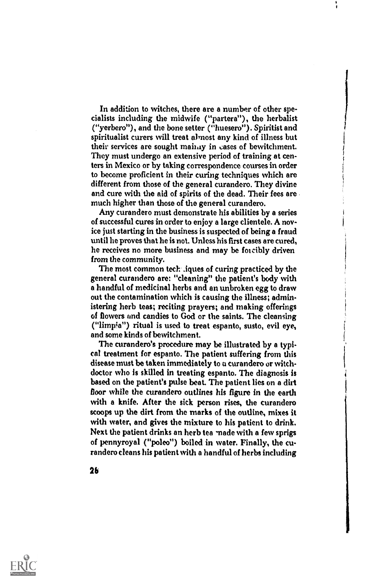In addition to witches, there are a number of other specialists including the midwife ("partera"), the herbalist ("yerbero"), and the bone setter ("huesero"). Spiritist and spiritualist curers will treat almost any kind of illness but their services are sought mainly in cases of bewitchment. They must undergo an extensive period of training at centers in Mexico or by taking correspondence courses in order to become proficient in their curing techniques which are different from those of the general curandero. They divine and cure with the aid of spirits of the dead. Their fees are much higher than those of the general curandero.

Any curandero must demonstrate his abilities by a series of successful cures in order to enjoy a large clientele. A novice just starting in the business is suspected of being a fraud until he proves that he is not. Unless his first cases are cured, he receives no more business and may be forcibly driven from the community.

The most common tech liques of curing practiced by the general curandero are: "cleaning" the patient's body with a handful of medicinal herbs and an unbroken egg to draw out the contamination which is causing the illness; administering herb teas; reciting prayers; and making offerings of flowers and candies to God or the saints. The cleansing ("limpia") ritual is used to treat espanto, susto, evil eye, and some kinds of bewitchment.

The curandero's procedure may be illustrated by a typical treatment for espanto. The patient suffering from this disease must be taken immediately to a curandero or witchdoctor who is skilled in treating espanto. The diagnosis is based on the patient's pulse beat. The patient lies on a dirt floor while the curandero outlines his figure in the earth with a knife. After the sick person rises, the curandero scoops up the dirt from the marks of the outline, mixes it with water, and gives the mixture to his patient to drink. Next the patient drinks an herb tea made with a few sprigs of pennyroyal ("poleo") boiled in water. Finally, the curandero cleans his patient with a handful of herbs including



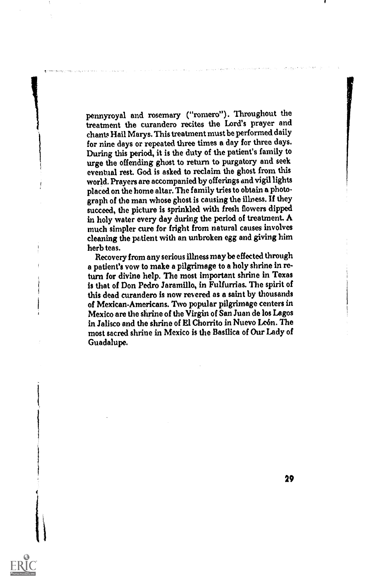treatment the curandero recites the Lord's prayer and<br>heute Heil Morne This treatment must be performed daily pennyroyal and rosemary ("romero"). Throughout the chants Hail Marys. This treatment must be performed daily for nine days or repeated three times a day for three days. During this period, it is the duty of the patient's family to urge the offending ghost to return to purgatory and seek eventual rest. God is asked to reclaim the ghost from this world. Prayers are accompanied by offerings and vigil lights placed on the home altar. The family tries to obtain a photograph of the man whose ghost is causing the illness. If they succeed, the picture is sprinkled with fresh flowers dipped in holy water every day during the period of treatment A much simpler cure for fright from natural causes involves cleaning the patient with an unbroken egg and giving him herb teas.

> Recovery from any serious illness may be effected through a patient's vow to make a pilgrimage to aholy shrine in return for divine help. The most important shrine in Texas is that of Don Pedro Jaramillo, in Fulfurrias. The spirit of this dead curandero is now revered as a saint by thousands of Mexican-Americans. Two popular pilgrimage centers in Mexico are the shrine of the Virgin of San Juan de los Lagos in Jalisco and the shrine of El Chorrito in Nuevo León. The most sacred shrine in Mexico is the Basilica of Our Lady of Guadalupe.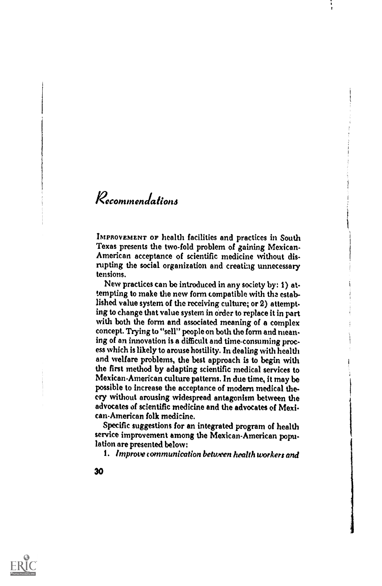### $R$ ecommendations

IMPROVEMENT OP health facilities and practices in South Texas presents the two-fold problem of gaining Mexican-American acceptance of scientific medicine without disrupting the social organization and creating unnecessary tensions.

New practices can be introduced in any society by: 1) attempting to make the new form compatible with the established value system of the receiving culture; or 2) attempting to change that value system in order to replace it in part with both the form and associated meaning of a complex concept. Trying to "sell" people on both the form and meaning of an innovation is a difficult and time-consuming process which is likely to arouse hostility. In dealing with health and welfare problems, the best approach is to begin with the first method by adapting scientific medical services to Mexican-American culture patterns. In due time, it may be possible to increase the acceptance of modern medical the cry without arousing widespread antagonism between the advocates of scientific medicine and the advocates of Mexican-American folk medicine.

Specific suggestions for en integrated program of health service improvement among the Mexican-American population are presented below:

1. Improve communication between health workers and



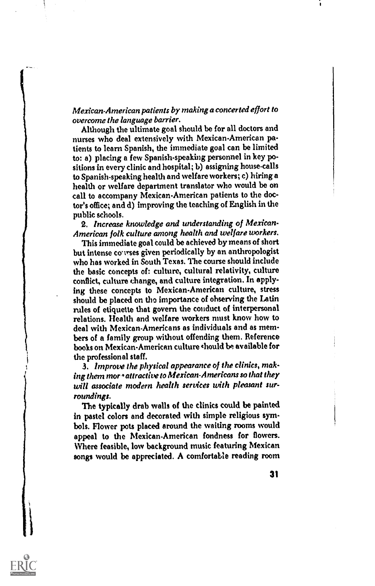### Mexican-American patients by making a concerted effort to overcome the language barrier.

Although the ultimate goal should be for all doctors and nurses who deal extensively with Mexican-American patients to learn Spanish, the immediate goal can be limited to: a) placing a few Spanish-speaking personnel in key positions in every clinic and hospital; b) assigning house-calls to Spanish-speaking health and welfare workers; c) hiring a health or welfare department translator who would be on call to accompany Mexican-American patients to the doctor's office; and d) improving the teaching of English in the public schools.

2. Increase knowledge and understanding of Mexican-American folk culture among health and welfare workers.

This immediate goal could be achieved by means of short but intense courses given periodically by an anthropologist who has worked in South Texas. The course should include the basic concepts of: culture, cultural relativity, culture conflict, culture change, and culture integration. In applying these concepts to Mexican-American culture, stress should be placed on tho importance of observing the Latin rules of etiquette that govern the conduct of interpersonal relations. Health and welfare workers must know how to deal with Mexican-Americans as individuals and as members of a family group without offending them. Reference books on Mexican-American culture should be available for the professional staff.

3. Improve the physical appearance of the clinics, making them mor + attractive to Mexican-Americans so that they will associate modern health services with pleasant surroundings.

The typically drab walls of the clinics could be painted in pastel colors and decorated with simple religious symbols. Flower pots placed around the waiting rooms would appeal to the Mexican-American fondness for flowers. Where feasible, low background music featuring Mexican songs would be appreciated. A comfortable reading room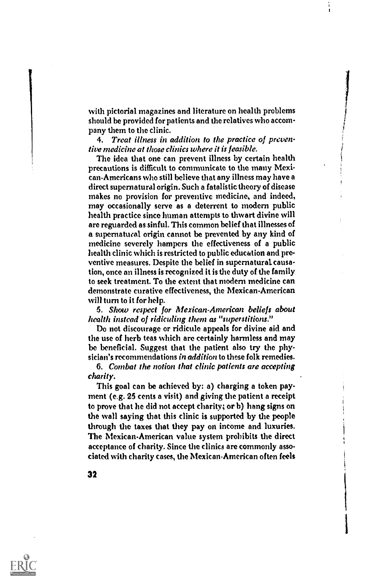with pictorial magazines and literature on health problems should be provided for patients and the relatives who accompany them to the clinic.

4. Treat illness in addition to the practice of preventive medicine at those clinics where it is feasible.

The idea that one can prevent illness by certain health precautions is difficult to communicate to the many Mexican-Americans who still believe that any illness may have a direct supernatural origin. Such a fatalistic theory of disease makes no provision for preventive medicine, and indeed, may occasionally serve as a deterrent to modern public health practice since human attempts to thwart divine will are reguarded as sinful. This common belief that illnesses of a supernatural origin cannot be prevented by any kind of medicine severely hampers the effectiveness of a public health clinic which is restricted to public education and preventive measures. Despite the belief in supernatural causation, once an illness is recognized it is the duty of the family to seek treatment. To the extent that modern medicine can demonstrate curative effectiveness, the Mexican-American will turn to it for help.

5. Show respect for Mexican-American beliefs about health instead of ridiculing them as "superstitions."

Do not discourage or ridicule appeals for divine aid and the use of herb teas which are certainly harmless and may be beneficial. Suggest that the patient also try the physician's recommendations in addition to these folk remedies.

6. Combat the notion that clinic patients are accepting charity.

This goal can be achieved by: a) charging a token payment (e.g. 25 cents a visit) and giving the patient a receipt to prove that he did not accept charity; or b) hang signs on the wall saying that this clinic is supported by the people through the taxes that they pay on income and luxuries. The Mexican-American value system prohibits the direct acceptance of charity. Since the clinics are commonly associated with charity cases, the Mexican-American often feels

32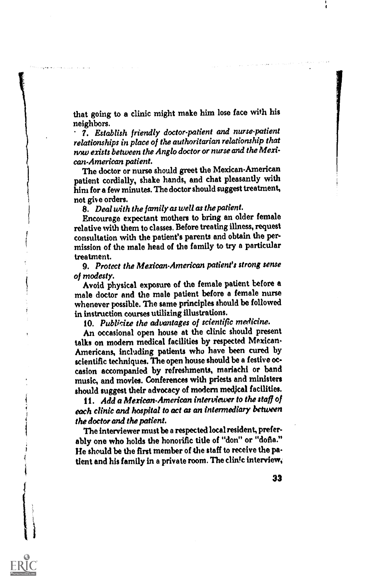that going to a clinic might make him lose face with his neighbors.

7. Establish friendly doctor-patient and nurse-patient relationships in place of the authoritarian relationship that now exists between the Anglo doctor or nurse and the Mexican-American patient.

The doctor or nurse should greet the Mexican-American patient cordially, shake hands, and chat pleasantly with him for a few minutes. The doctor should suggest treatment, not give orders.

8. Deal with the family as well as the patient.

Encourage expectant mothers to bring an older female relative with them to classes. Before treating illness, request consultation with the patient's parents and obtain the permission of the male head of the family to try a particular treatment.

9. Protect the Mexican-American patient's strong sense of modesty.

Avoid physical exposure of the female patient before a male doctor and the male patient before a female nurse whenever possible. The same principles should be followed in instruction courses utilizing illustrations.

10. Publicize the advantages of scientific medicine.

An occasional open house at the clinic should present talks on modern medical facilities by respected Mexican-Americans, including patients who have been cured by scientific techniques. The open house should be a festive occasion accompanied by refreshments, mariachi or band music, and movies. Conferences with priests and ministers should suggest their advocacy of modern medical facilities.

11. Add a Mexican-American interviewer to the staff of each clinic and hospital to act as an intermediary between the doctor and the patient.

The interviewer must be a respected local resident, preferably one who holds the honorific title of "don" or "dofia." He should be the first member of the staff to receive the patient and his family in a private room. The clinic interview,

33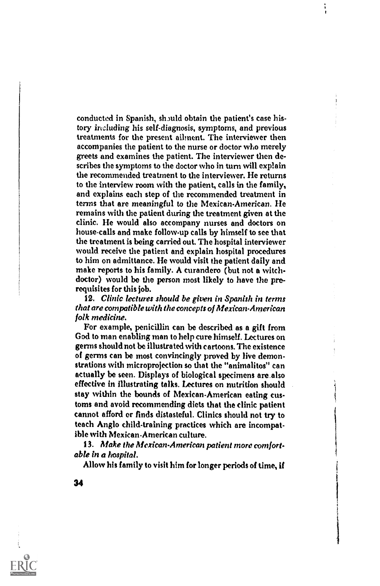conducted in Spanish, should obtain the patient's case history including his self-diagnosis, symptoms, and previous treatments for the present ailment. The interviewer then accompanies the patient to the nurse or doctor who merely greets and examines the patient. The interviewer then describes the symptoms to the doctor who in turn will explain the recommended treatment to the interviewer. He returns to the interview room with the patient, calls in the family, and explains each step of the recommended treatment in terms that are meaningful to the Mexican-American. He remains with the patient during the treatment given at the clinic. He would also accompany nurses and doctors on house-calls and make follow-up calls by himself to see that the treatment is being carried out. The hospital interviewer would receive the patient and explain hospital procedures to him on admittance. He would visit the patient daily and make reports to his family. A curandero (but not a witchdoctor) would be the person most likely to have the prerequisites for this job.

12. Clinic lectures should be given in Spanish in terms that are compatible with the concepts of Mexican-American folk medicine.

For example, penicillin can be described as a gift from God to man enabling man to help cure himself. Lectures on germs should not be illustrated with cartoons. The existence of germs can be most convincingly proved by live demonstrations with microprojection so that the "animalitos" can actually be seen. Displays of biological specimens are also effective in illustrating talks. Lectures on nutrition should stay within the bounds of Mexican-American eating customs and avoid recommending diets that the clinic patient cannot afford or finds distasteful. Clinics should not try to teach Anglo child-training practices which are incompatible with Mexican-American culture.

13. Make the Mexican-American patient more comfortable in a hospital.

Allow his family to visit him for longer periods of time, if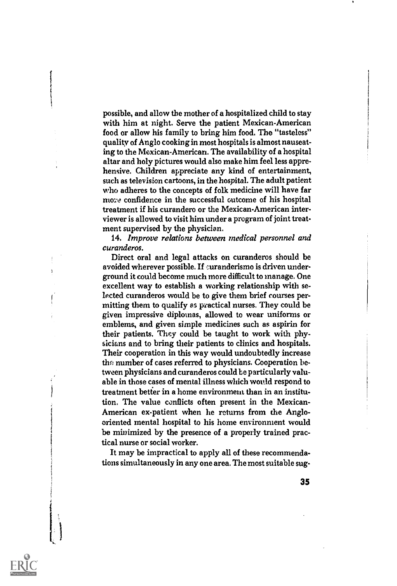possible, and allow the mother of a hospitalized child to stay with him at night. Serve the patient Mexican-American food or allow his family to bring him food. The "tasteless" quality of Anglo cooking in most hospitals is almost nauseating to the Mexican-American. The availability of a hospital altar and holy pictures would also make him feel less apprehensive. Children appreciate any kind of entertainment, such as television cartoons, in the hospital. The adult patient who adheres to the concepts of folk medicine will have far more confidence in the successful outcome of his hospital treatment if his curandero or the Mexican-American interviewer is allowed to visit him under a program of joint treatment supervised by the physician.

14. Improve relations between medical personnel and curanderos.

Direct oral and legal attacks on curanderos should be avoided wherever possible. If curanderismo is driven underground it could become much more difficult to manage. One excellent way to establish a working relationship with selected curanderos would be to give them brief courses permitting them to qualify as practical nurses. They could be given impressive diplomas, allowed to wear uniforms or emblems, and given simple medicines such as aspirin for their patients. They could be taught to work with physicians and to bring their patients to clinics and hospitals. Their cooperation in this way would undoubtedly increase the number of cases referred to physicians. Cooperation between physicians and curanderos could be particularly valuable in those cases of mental illness which would respond to treatment better in a home environment than in an institution. The value conflicts often present in the Mexican-American ex-patient when he returns from the Anglooriented mental hospital to his home environment would be minimized by the presence of a properly trained practical nurse or social worker.

It may be impractical to apply all of these recommendations simultaneously in any one area. The most suitable sug